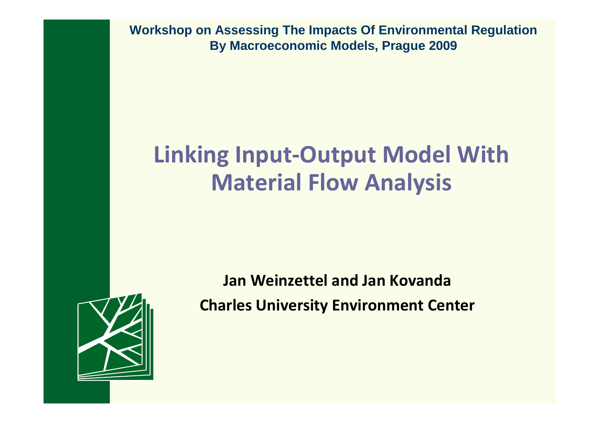**Workshop on Assessing The Impacts Of Environmental Regulation By Macroeconomic Models, Prague 2009**

# **Linking Input-Output Model With Material Flow Analysis**



**Jan Weinzettel and Jan KovandaCharles University Environment Center**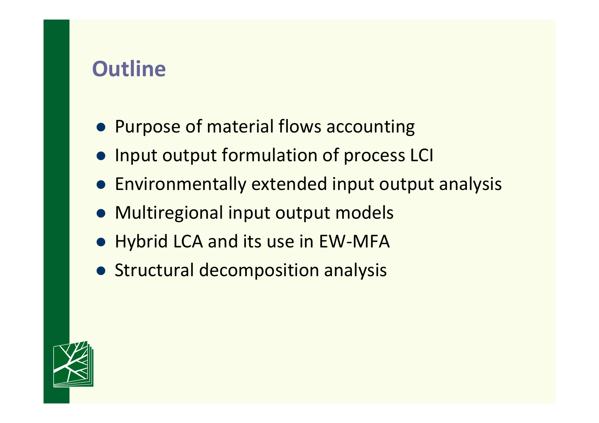### **Outline**

- **Purpose of material flows accounting**
- **Input output formulation of process LCI**
- **Environmentally extended input output analysis**
- Multiregional input output models
- Hybrid LCA and its use in EW-MFA
- Structural decomposition analysis

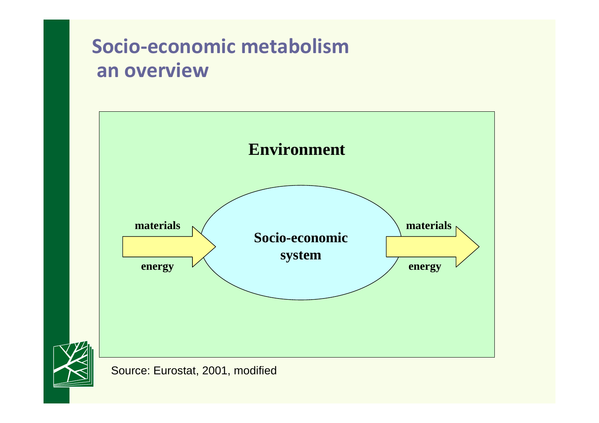# **Socio-economic metabolism an overview**



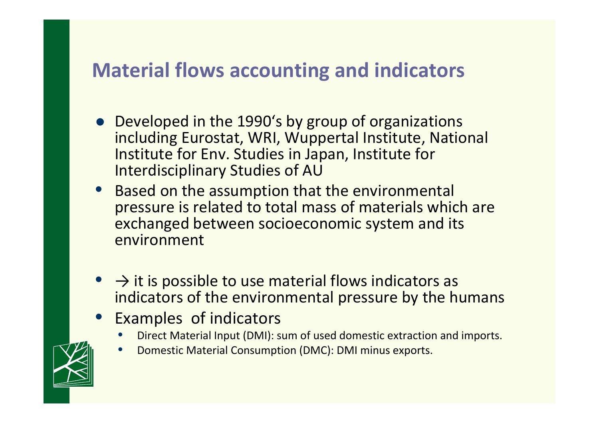#### **Material flows accounting and indicators**

- Developed in the 1990's by group of organizations including Eurostat, WRI, Wuppertal Institute, National Institute for Env. Studies in Japan, Institute for Interdisciplinary Studies of AU
- Based on the assumption that the environmental  $\bullet$ pressure is related to total mass of materials which are exchanged between socioeconomic system and its environment
- $\bullet$  $\rightarrow$  it is possible to use material flows indicators as indicators of the environmental pressure by the humans
- $\bullet$  Examples of indicators
	- •Direct Material Input (DMI): sum of used domestic extraction and imports.
	- •Domestic Material Consumption (DMC): DMI minus exports.

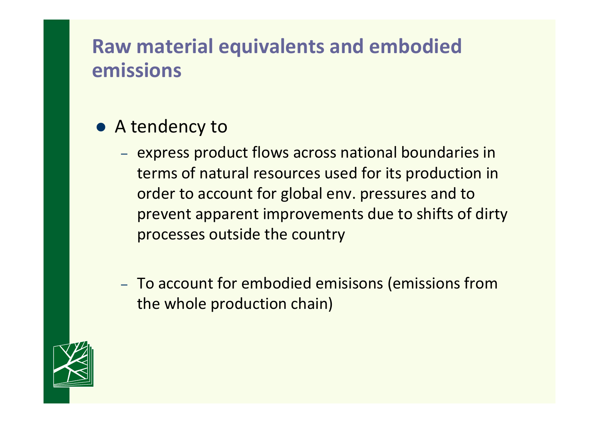### **Raw material equivalents and embodied emissions**

# A tendency to

- express product flows across national boundaries in terms of natural resources used for its production in order to account for global env. pressures and to prevent apparent improvements due to shifts of dirty processes outside the country
- To account for embodied emisisons (emissions from the whole production chain)

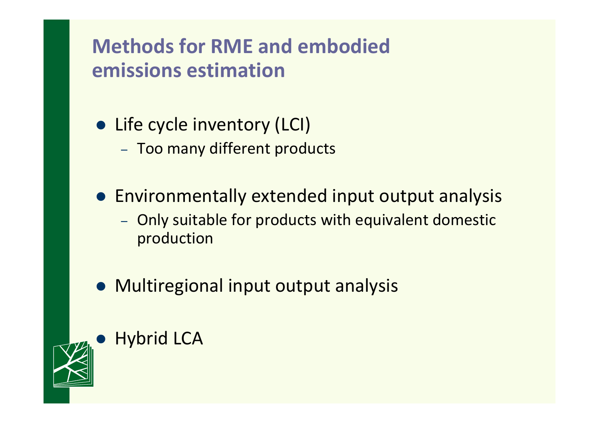# **Methods for RME and embodied emissions estimation**

- Life cycle inventory (LCI)
	- Too many different products
- **Environmentally extended input output analysis** 
	- Only suitable for products with equivalent domestic production
- Multiregional input output analysis



#### Hybrid LCA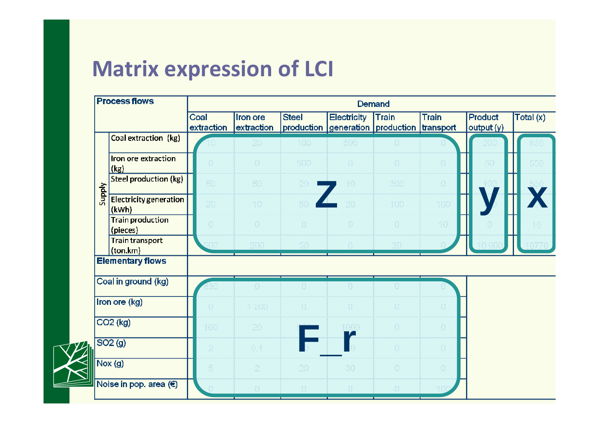# **Matrix expression of LCI**

|        | <b>Process flows</b>                   | Demand                                                   |                                                                 |                                                        |                                                                                                        |                                                        |                                        |                      |             |  |
|--------|----------------------------------------|----------------------------------------------------------|-----------------------------------------------------------------|--------------------------------------------------------|--------------------------------------------------------------------------------------------------------|--------------------------------------------------------|----------------------------------------|----------------------|-------------|--|
|        |                                        | Coal<br>extraction                                       | Iron ore<br>extraction                                          | <b>Steel</b><br>production                             | <b>Electricity</b><br>generation                                                                       | Train<br>production transport                          | <b>Train</b>                           | Product<br>output(y) | Total $(x)$ |  |
|        | Coal extraction (kg)                   |                                                          | 20                                                              | 100                                                    | All                                                                                                    |                                                        |                                        | 286                  | 530         |  |
|        | Iron ore extraction<br>(kg)            | $\langle \rangle$                                        | $\sum_{i=1}^{n} \sum_{j=1}^{n}$                                 | 500                                                    | $\left\{\begin{array}{c} \mathbf{r} \\ \mathbf{r} \end{array}\right\}$                                 |                                                        | Ü                                      | 50                   | 560         |  |
| Supply | Steel production (kg)                  | $\mathbb{S}^{\circ}_{\omega}$                            | 50                                                              | $\sum_{\ell m} \binom{N}{\ell}$                        | 10                                                                                                     | 300                                                    | S.                                     |                      |             |  |
|        | <b>Electricity generation</b><br>(kWh) | $\mathbb{R}$                                             | 40                                                              | 50                                                     | 20                                                                                                     | 100                                                    | 100                                    |                      |             |  |
|        | <b>Train production</b><br>(pieces)    | $\hat{C}$                                                | $\hat{\mathbb{C}}$                                              | $\hat{\Sigma}$                                         | $\mathbb{C}$                                                                                           | $\mathcal{L}$                                          | 10                                     |                      | 30          |  |
|        | <b>Train transport</b><br>(ton.km)     | HO B                                                     | 200                                                             | 60                                                     | $\left\{ \begin{array}{c} \mathcal{P}_{\mathcal{A}} \\ \mathcal{P}_{\mathcal{A}} \end{array} \right\}$ | $\mathcal{L}^{\text{eq}}_{\text{eff}}$                 |                                        | 40 A                 |             |  |
|        | <b>Elementary flows</b>                |                                                          |                                                                 |                                                        |                                                                                                        |                                                        |                                        |                      |             |  |
|        | Coal in ground (kg)                    |                                                          | O.                                                              | 0                                                      | $\bigcirc$                                                                                             | $\mathbb{O}$                                           |                                        |                      |             |  |
|        | Iron ore (kg)                          | $\left\{\right\}$                                        | 1 200                                                           | $\left\{ \right\}$                                     | $\mathbb{O}$                                                                                           | $\mathbb{O}$                                           | $\left\{ \right\}$                     |                      |             |  |
|        | CO2 (kg)                               | 100                                                      | $\mathfrak{M}$                                                  |                                                        | 1000                                                                                                   | $\mathbb{C}$                                           | $\bigcirc$                             |                      |             |  |
|        | SO2(g)                                 | $\mathcal{L}(\xi)$<br>$\mathcal{L}_{\mathrm{eff}}^{(0)}$ | $\mathbb{Q}$ 1                                                  |                                                        |                                                                                                        | $\mathbb{O}$                                           | $\begin{pmatrix} 1 \\ 2 \end{pmatrix}$ |                      |             |  |
|        | Nox(g)                                 | h                                                        | $\frac{2}{\Delta \omega}$                                       | 20                                                     | 30                                                                                                     | $\bigodot$                                             | $\bigodot$                             |                      |             |  |
|        | Noise in pop. area $(€)$               |                                                          | $\left\{ \begin{array}{ll} 0 & 0 \\ 0 & 0 \end{array} \right\}$ | $\left\{ \begin{array}{c} 0 \\ 0 \end{array} \right\}$ | $\left\{ \begin{array}{c} 0 \\ 0 \end{array} \right\}$                                                 | $\left\{ \begin{array}{c} 0 \\ 0 \end{array} \right\}$ |                                        |                      |             |  |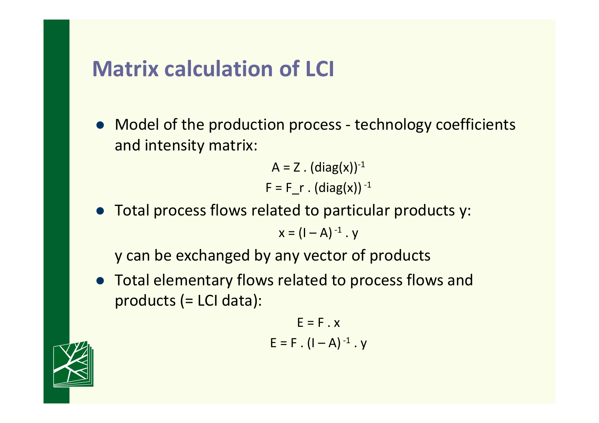# **Matrix calculation of LCI**

 $\bullet$  Model of the production process - technology coefficients and intensity matrix:

> $A = Z$ .  $(diag(x))^{-1}$  $F = F_{r} \cdot (diag(x))^{-1}$

 Total process flows related to particular products y:  $x = (1 - A)^{-1}$ . y

y can be exchanged by any vector of products

**•** Total elementary flows related to process flows and products (= LCI data):

```
F = F \cdot xE = F. (I - A)^{-1}. y
```
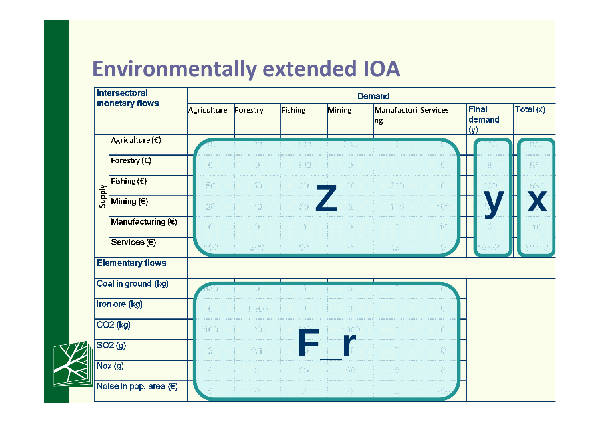# **Environmentally extended IOA**

|                | <b>Intersectoral</b>     | Demand                                                                                                                                                                                                                                                                                                                                                                                                                                                    |                    |                         |              |                                        |                |                        |                                                       |  |
|----------------|--------------------------|-----------------------------------------------------------------------------------------------------------------------------------------------------------------------------------------------------------------------------------------------------------------------------------------------------------------------------------------------------------------------------------------------------------------------------------------------------------|--------------------|-------------------------|--------------|----------------------------------------|----------------|------------------------|-------------------------------------------------------|--|
| monetary flows |                          | Agriculture                                                                                                                                                                                                                                                                                                                                                                                                                                               | Forestry           | Fishing                 | Mining       | Manufacturi Services<br>$\mathsf{lng}$ |                | Final<br>demand<br>(y) | Total $(x)$                                           |  |
|                | Agriculture $(\epsilon)$ |                                                                                                                                                                                                                                                                                                                                                                                                                                                           | 20.                | 108                     | 500          | O.                                     |                | 40k                    | 338                                                   |  |
|                | Forestry $(E)$           | $\mathbb{C}$                                                                                                                                                                                                                                                                                                                                                                                                                                              | $\mathbb{G}% _{n}$ | 500                     | $\mathbb{C}$ | $\mathbb{C}$                           | $\mathbb{C}^*$ | A,                     | 550                                                   |  |
|                | Fishing $(E)$            | 线                                                                                                                                                                                                                                                                                                                                                                                                                                                         | <b>图</b>           | 20                      | 10           | 300                                    | O.             | 100                    | 536                                                   |  |
| <b>Supply</b>  | Mining $( \in )$         | $\sum_{\mathbf{x} \in \mathcal{A}^{(n)}} \sum_{\mathbf{x} \in \mathcal{A}^{(n)}} \sum_{\mathbf{x} \in \mathcal{A}^{(n)}} \sum_{\mathbf{x} \in \mathcal{A}^{(n)}} \sum_{\mathbf{x} \in \mathcal{A}^{(n)}} \sum_{\mathbf{x} \in \mathcal{A}^{(n)}} \sum_{\mathbf{x} \in \mathcal{A}^{(n)}} \sum_{\mathbf{x} \in \mathcal{A}^{(n)}} \sum_{\mathbf{x} \in \mathcal{A}^{(n)}} \sum_{\mathbf{x} \in \mathcal{A}^{(n)}} \sum_{\mathbf{x} \in \mathcal{A}^{(n)}}$ | 10                 | 50                      | 20           | 100                                    | 100            |                        |                                                       |  |
|                | Manufacturing (€)        | $\mathcal{L}$                                                                                                                                                                                                                                                                                                                                                                                                                                             | $\mathbb{C}$       | $\mathbf{G}$            | $\mathbb{C}$ | $\mathbb{C}$                           | 10             |                        | $\left\{ \begin{matrix} 0 \\ 0 \end{matrix} \right\}$ |  |
|                | Services $(E)$           |                                                                                                                                                                                                                                                                                                                                                                                                                                                           | 200                | $\mathbb{S} \mathbb{O}$ |              | 20                                     |                | 10 OCC                 |                                                       |  |
|                | <b>Elementary flows</b>  |                                                                                                                                                                                                                                                                                                                                                                                                                                                           |                    |                         |              |                                        |                |                        |                                                       |  |
|                | Coal in ground (kg)      |                                                                                                                                                                                                                                                                                                                                                                                                                                                           | Ü                  | Q.                      | 0            | 0                                      |                |                        |                                                       |  |
|                | Iron ore (kg)            | $\mathbb{C}$                                                                                                                                                                                                                                                                                                                                                                                                                                              | 1200               | $\mathbb{C}$            | $\bigcirc$   | $\mathbb{C}$                           | $\bigcirc$     |                        |                                                       |  |
|                | CO2 (kg)                 | 100                                                                                                                                                                                                                                                                                                                                                                                                                                                       | 20                 |                         | 1000         | $\mathbb{O}$                           | $\Omega$       |                        |                                                       |  |
|                | SO2(g)                   | $\sum_{\rm max}^{\rm obs}$                                                                                                                                                                                                                                                                                                                                                                                                                                | $\mathbb{Q}_q$ 1   |                         |              | $\mathbb{C}$                           | $\mathbf{C}$   |                        |                                                       |  |
|                | $\sqrt{\text{Nox}}(g)$   | $\widetilde{\mathbb{S}}$                                                                                                                                                                                                                                                                                                                                                                                                                                  | $\mathbb{R}^2$     | $20\,$                  | 30           | $\mathbb{O}$                           | $\mathbb{O}$   |                        |                                                       |  |
|                | Noise in pop. area $(€)$ | $\bigcirc$                                                                                                                                                                                                                                                                                                                                                                                                                                                | $\frac{1}{2}$      |                         | Ů            |                                        | 10             |                        |                                                       |  |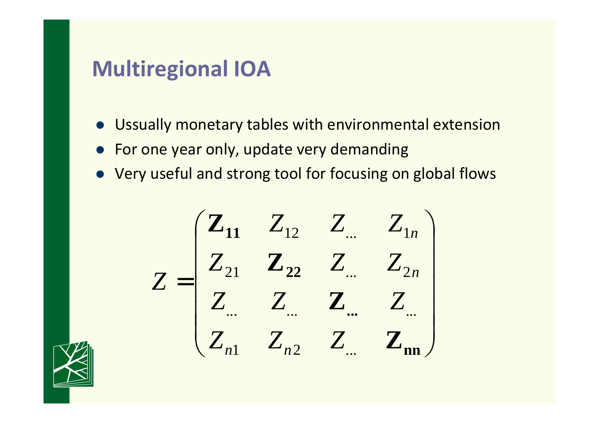### **Multiregional IOA**

- $\bullet$ Ussually monetary tables with environmental extension
- **•** For one year only, update very demanding
- Very useful and strong tool for focusing on global flows

$$
Z = \begin{pmatrix} Z_{11} & Z_{12} & Z_{...} & Z_{1n} \\ Z_{21} & Z_{22} & Z_{...} & Z_{2n} \\ Z_{...} & Z_{...} & Z_{...} & Z_{...} \\ Z_{n1} & Z_{n2} & Z_{...} & Z_{nn} \end{pmatrix}
$$

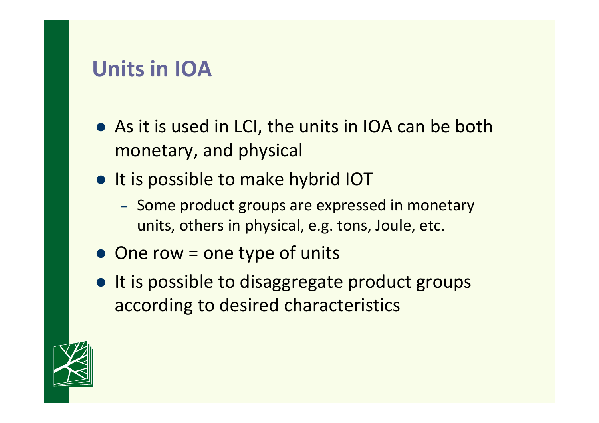#### **Units in IOA**

- As it is used in LCI, the units in IOA can be both monetary, and physical
- It is possible to make hybrid IOT
	- Some product groups are expressed in monetary units, others in physical, e.g. tons, Joule, etc.
- One row = one type of units
- It is possible to disaggregate product groups according to desired characteristics

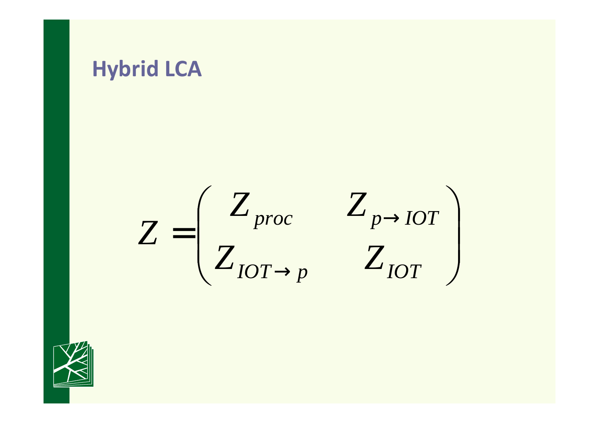$=\begin{pmatrix} Z_{proc} & Z_{p\rightarrow IOT}\ Z_{IOT\rightarrow p} & Z_{IOT} \end{pmatrix}$  $Z = \begin{pmatrix} Z_{proc} & Z_{p\rightarrow IOT} \\ Z_{IOT\rightarrow p} & Z_{IOT} \end{pmatrix}$ 



**Hybrid LCA**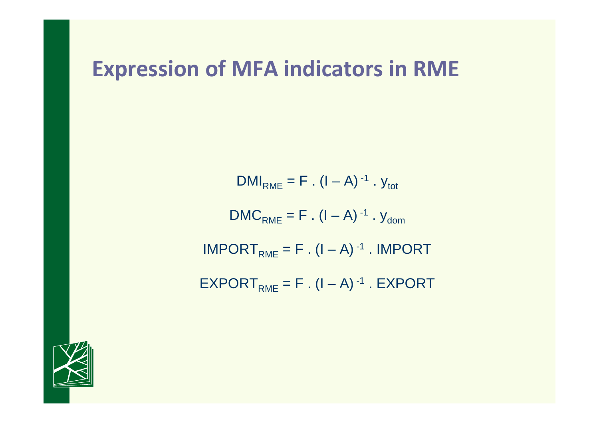# **Expression of MFA indicators in RME**

 $DMI_{RME} = F$ .  $(I - A)^{-1}$ .  $y_{tot}$  $DMC_{RME} = F$ .  $(I - A)^{-1}$ .  $y_{\text{dom}}$  $IMPORT<sub>RMF</sub> = F. (I - A)<sup>-1</sup>. IMPORT$  $EXPORT<sub>RME</sub> = F. (I - A)<sup>-1</sup>. EXPORT$ 

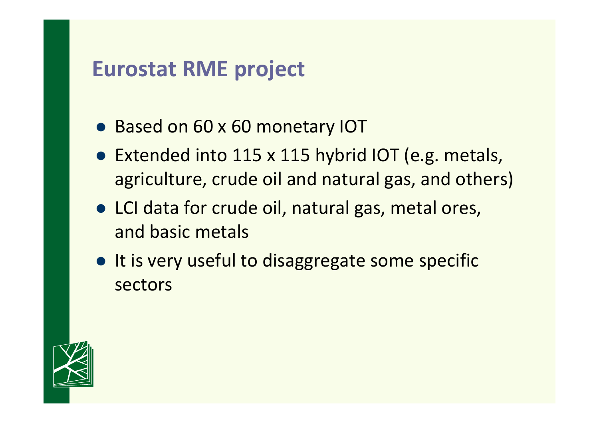#### **Eurostat RME project**

- Based on 60 x 60 monetary IOT
- Extended into 115 x 115 hybrid IOT (e.g. metals, agriculture, crude oil and natural gas, and others)
- LCI data for crude oil, natural gas, metal ores, and basic metals
- $\bullet$  It is very useful to disaggregate some specific sectors

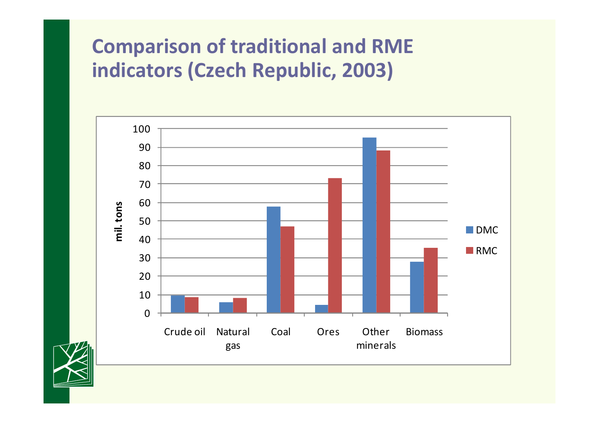## **Comparison of traditional and RME indicators (Czech Republic, 2003)**

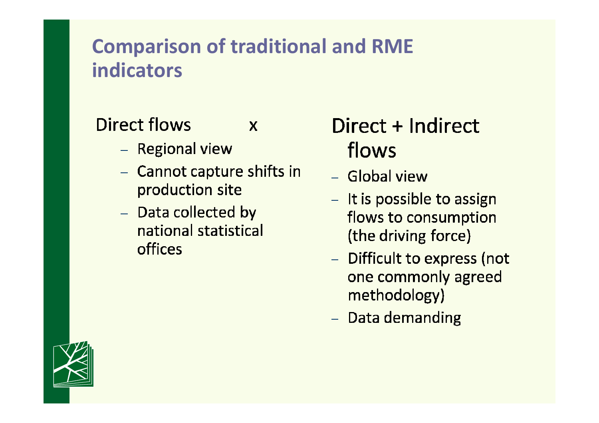### **Comparison of traditional and RME** indicators

#### **Direct flows**

 $\mathbf{X}$ 

- Regional view
- Cannot capture shifts in production site
- Data collected by national statistical offices

# Direct + Indirect flows

- Global view
- It is possible to assign flows to consumption (the driving force)
- Difficult to express (not one commonly agreed methodology)
- Data demanding

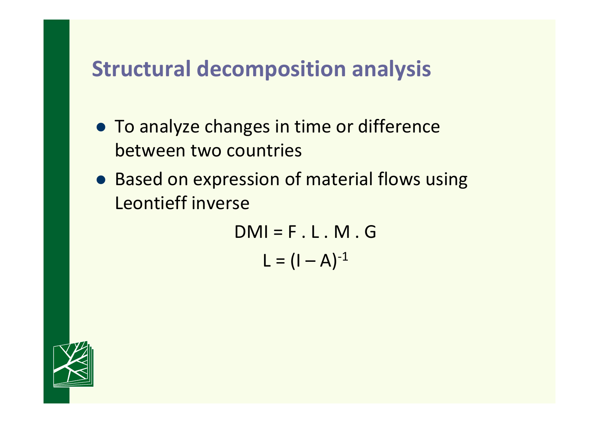# **Structural decomposition analysis**

- To analyze changes in time or difference between two countries
- Based on expression of material flows using Leontieff inverse

 $DMI = F. L. M. G$  $L = (I - A)^{-1}$ 

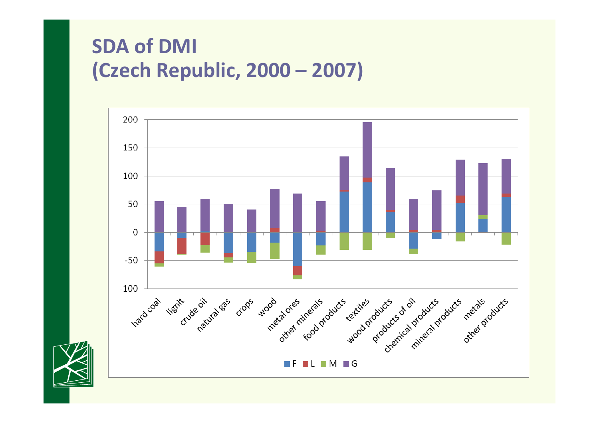### **SDA of DMI (Czech Republic, 2000 – 2007)**

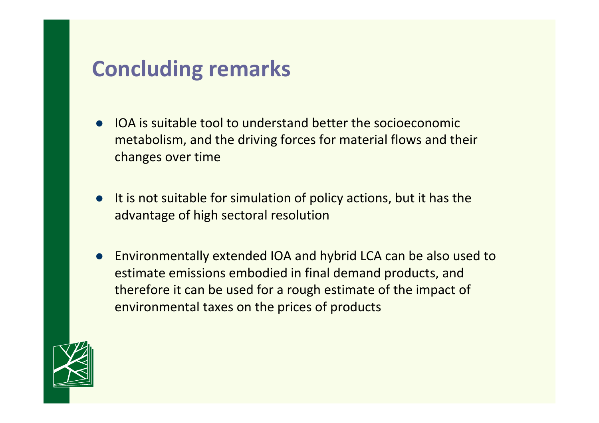#### **Concluding remarks**

- $\bullet$  IOA is suitable tool to understand better the socioeconomic metabolism, and the driving forces for material flows and their changes over time
- $\bullet$  It is not suitable for simulation of policy actions, but it has the advantage of high sectoral resolution
- $\bullet$  Environmentally extended IOA and hybrid LCA can be also used to estimate emissions embodied in final demand products, and therefore it can be used for a rough estimate of the impact of environmental taxes on the prices of products